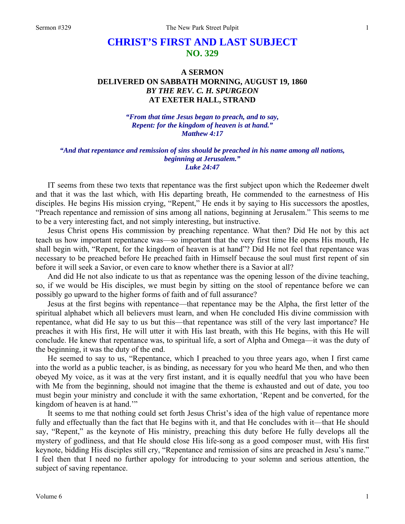## **CHRIST'S FIRST AND LAST SUBJECT NO. 329**

## **A SERMON DELIVERED ON SABBATH MORNING, AUGUST 19, 1860**  *BY THE REV. C. H. SPURGEON*  **AT EXETER HALL, STRAND**

*"From that time Jesus began to preach, and to say, Repent: for the kingdom of heaven is at hand." Matthew 4:17* 

## *"And that repentance and remission of sins should be preached in his name among all nations, beginning at Jerusalem." Luke 24:47*

IT seems from these two texts that repentance was the first subject upon which the Redeemer dwelt and that it was the last which, with His departing breath, He commended to the earnestness of His disciples. He begins His mission crying, "Repent," He ends it by saying to His successors the apostles, "Preach repentance and remission of sins among all nations, beginning at Jerusalem." This seems to me to be a very interesting fact, and not simply interesting, but instructive.

Jesus Christ opens His commission by preaching repentance. What then? Did He not by this act teach us how important repentance was—so important that the very first time He opens His mouth, He shall begin with, "Repent, for the kingdom of heaven is at hand"? Did He not feel that repentance was necessary to be preached before He preached faith in Himself because the soul must first repent of sin before it will seek a Savior, or even care to know whether there is a Savior at all?

And did He not also indicate to us that as repentance was the opening lesson of the divine teaching, so, if we would be His disciples, we must begin by sitting on the stool of repentance before we can possibly go upward to the higher forms of faith and of full assurance?

Jesus at the first begins with repentance—that repentance may be the Alpha, the first letter of the spiritual alphabet which all believers must learn, and when He concluded His divine commission with repentance, what did He say to us but this—that repentance was still of the very last importance? He preaches it with His first, He will utter it with His last breath, with this He begins, with this He will conclude. He knew that repentance was, to spiritual life, a sort of Alpha and Omega—it was the duty of the beginning, it was the duty of the end.

He seemed to say to us, "Repentance, which I preached to you three years ago, when I first came into the world as a public teacher, is as binding, as necessary for you who heard Me then, and who then obeyed My voice, as it was at the very first instant, and it is equally needful that you who have been with Me from the beginning, should not imagine that the theme is exhausted and out of date, you too must begin your ministry and conclude it with the same exhortation, 'Repent and be converted, for the kingdom of heaven is at hand."

It seems to me that nothing could set forth Jesus Christ's idea of the high value of repentance more fully and effectually than the fact that He begins with it, and that He concludes with it—that He should say, "Repent," as the keynote of His ministry, preaching this duty before He fully develops all the mystery of godliness, and that He should close His life-song as a good composer must, with His first keynote, bidding His disciples still cry, "Repentance and remission of sins are preached in Jesu's name." I feel then that I need no further apology for introducing to your solemn and serious attention, the subject of saving repentance.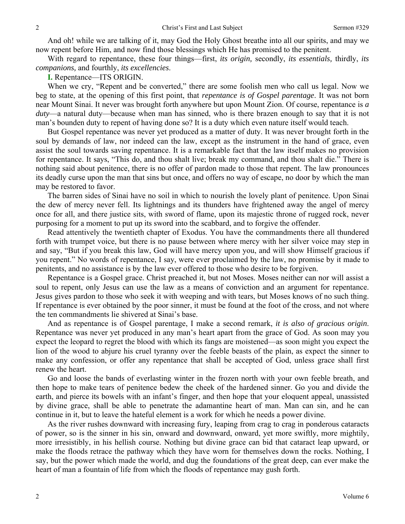And oh! while we are talking of it, may God the Holy Ghost breathe into all our spirits, and may we now repent before Him, and now find those blessings which He has promised to the penitent.

With regard to repentance, these four things—first, *its origin,* secondly, *its essentials,* thirdly, *its companions,* and fourthly, *its excellencies*.

**I.** Repentance—ITS ORIGIN.

When we cry, "Repent and be converted," there are some foolish men who call us legal. Now we beg to state, at the opening of this first point, that *repentance is of Gospel parentage*. It was not born near Mount Sinai. It never was brought forth anywhere but upon Mount Zion. Of course, repentance is *a duty*—a natural duty—because when man has sinned, who is there brazen enough to say that it is not man's bounden duty to repent of having done so? It is a duty which even nature itself would teach.

But Gospel repentance was never yet produced as a matter of duty. It was never brought forth in the soul by demands of law, nor indeed can the law, except as the instrument in the hand of grace, even assist the soul towards saving repentance. It is a remarkable fact that the law itself makes no provision for repentance. It says, "This do, and thou shalt live; break my command, and thou shalt die." There is nothing said about penitence, there is no offer of pardon made to those that repent. The law pronounces its deadly curse upon the man that sins but once, and offers no way of escape, no door by which the man may be restored to favor.

The barren sides of Sinai have no soil in which to nourish the lovely plant of penitence. Upon Sinai the dew of mercy never fell. Its lightnings and its thunders have frightened away the angel of mercy once for all, and there justice sits, with sword of flame, upon its majestic throne of rugged rock, never purposing for a moment to put up its sword into the scabbard, and to forgive the offender.

Read attentively the twentieth chapter of Exodus. You have the commandments there all thundered forth with trumpet voice, but there is no pause between where mercy with her silver voice may step in and say, "But if you break this law, God will have mercy upon you, and will show Himself gracious if you repent." No words of repentance, I say, were ever proclaimed by the law, no promise by it made to penitents, and no assistance is by the law ever offered to those who desire to be forgiven.

Repentance is a Gospel grace. Christ preached it, but not Moses. Moses neither can nor will assist a soul to repent, only Jesus can use the law as a means of conviction and an argument for repentance. Jesus gives pardon to those who seek it with weeping and with tears, but Moses knows of no such thing. If repentance is ever obtained by the poor sinner, it must be found at the foot of the cross, and not where the ten commandments lie shivered at Sinai's base.

And as repentance is of Gospel parentage, I make a second remark, *it is also of gracious origin*. Repentance was never yet produced in any man's heart apart from the grace of God. As soon may you expect the leopard to regret the blood with which its fangs are moistened—as soon might you expect the lion of the wood to abjure his cruel tyranny over the feeble beasts of the plain, as expect the sinner to make any confession, or offer any repentance that shall be accepted of God, unless grace shall first renew the heart.

Go and loose the bands of everlasting winter in the frozen north with your own feeble breath, and then hope to make tears of penitence bedew the cheek of the hardened sinner. Go you and divide the earth, and pierce its bowels with an infant's finger, and then hope that your eloquent appeal, unassisted by divine grace, shall be able to penetrate the adamantine heart of man. Man can sin, and he can continue in it, but to leave the hateful element is a work for which he needs a power divine.

As the river rushes downward with increasing fury, leaping from crag to crag in ponderous cataracts of power, so is the sinner in his sin, onward and downward, onward, yet more swiftly, more mightily, more irresistibly, in his hellish course. Nothing but divine grace can bid that cataract leap upward, or make the floods retrace the pathway which they have worn for themselves down the rocks. Nothing, I say, but the power which made the world, and dug the foundations of the great deep, can ever make the heart of man a fountain of life from which the floods of repentance may gush forth.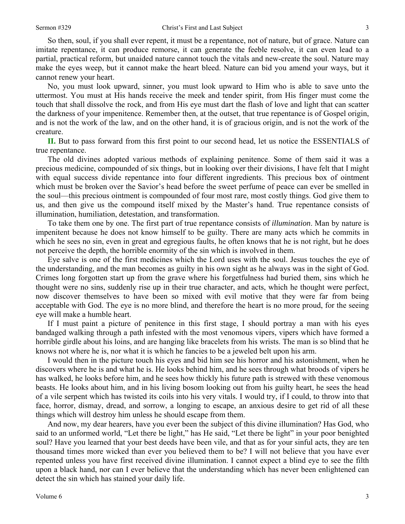So then, soul, if you shall ever repent, it must be a repentance, not of nature, but of grace. Nature can imitate repentance, it can produce remorse, it can generate the feeble resolve, it can even lead to a partial, practical reform, but unaided nature cannot touch the vitals and new-create the soul. Nature may make the eyes weep, but it cannot make the heart bleed. Nature can bid you amend your ways, but it cannot renew your heart.

No, you must look upward, sinner, you must look upward to Him who is able to save unto the uttermost. You must at His hands receive the meek and tender spirit, from His finger must come the touch that shall dissolve the rock, and from His eye must dart the flash of love and light that can scatter the darkness of your impenitence. Remember then, at the outset, that true repentance is of Gospel origin, and is not the work of the law, and on the other hand, it is of gracious origin, and is not the work of the creature.

**II.** But to pass forward from this first point to our second head, let us notice the ESSENTIALS of true repentance.

The old divines adopted various methods of explaining penitence. Some of them said it was a precious medicine, compounded of six things, but in looking over their divisions, I have felt that I might with equal success divide repentance into four different ingredients. This precious box of ointment which must be broken over the Savior's head before the sweet perfume of peace can ever be smelled in the soul—this precious ointment is compounded of four most rare, most costly things. God give them to us, and then give us the compound itself mixed by the Master's hand. True repentance consists of illumination, humiliation, detestation, and transformation.

To take them one by one. The first part of true repentance consists of *illumination*. Man by nature is impenitent because he does not know himself to be guilty. There are many acts which he commits in which he sees no sin, even in great and egregious faults, he often knows that he is not right, but he does not perceive the depth, the horrible enormity of the sin which is involved in them.

Eye salve is one of the first medicines which the Lord uses with the soul. Jesus touches the eye of the understanding, and the man becomes as guilty in his own sight as he always was in the sight of God. Crimes long forgotten start up from the grave where his forgetfulness had buried them, sins which he thought were no sins, suddenly rise up in their true character, and acts, which he thought were perfect, now discover themselves to have been so mixed with evil motive that they were far from being acceptable with God. The eye is no more blind, and therefore the heart is no more proud, for the seeing eye will make a humble heart.

If I must paint a picture of penitence in this first stage, I should portray a man with his eyes bandaged walking through a path infested with the most venomous vipers, vipers which have formed a horrible girdle about his loins, and are hanging like bracelets from his wrists. The man is so blind that he knows not where he is, nor what it is which he fancies to be a jeweled belt upon his arm.

I would then in the picture touch his eyes and bid him see his horror and his astonishment, when he discovers where he is and what he is. He looks behind him, and he sees through what broods of vipers he has walked, he looks before him, and he sees how thickly his future path is strewed with these venomous beasts. He looks about him, and in his living bosom looking out from his guilty heart, he sees the head of a vile serpent which has twisted its coils into his very vitals. I would try, if I could, to throw into that face, horror, dismay, dread, and sorrow, a longing to escape, an anxious desire to get rid of all these things which will destroy him unless he should escape from them.

And now, my dear hearers, have you ever been the subject of this divine illumination? Has God, who said to an unformed world, "Let there be light," has He said, "Let there be light" in your poor benighted soul? Have you learned that your best deeds have been vile, and that as for your sinful acts, they are ten thousand times more wicked than ever you believed them to be? I will not believe that you have ever repented unless you have first received divine illumination. I cannot expect a blind eye to see the filth upon a black hand, nor can I ever believe that the understanding which has never been enlightened can detect the sin which has stained your daily life.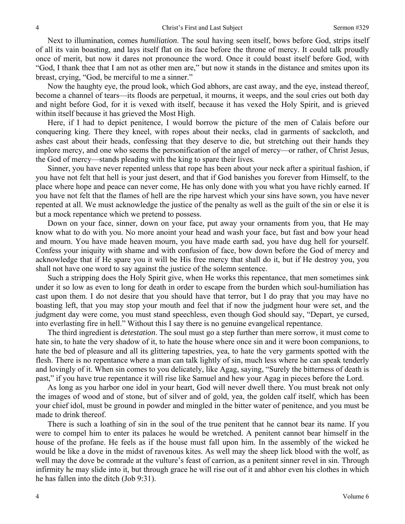Next to illumination, comes *humiliation*. The soul having seen itself, bows before God, strips itself of all its vain boasting, and lays itself flat on its face before the throne of mercy. It could talk proudly once of merit, but now it dares not pronounce the word. Once it could boast itself before God, with "God, I thank thee that I am not as other men are," but now it stands in the distance and smites upon its breast, crying, "God, be merciful to me a sinner."

Now the haughty eye, the proud look, which God abhors, are cast away, and the eye, instead thereof, become a channel of tears—its floods are perpetual, it mourns, it weeps, and the soul cries out both day and night before God, for it is vexed with itself, because it has vexed the Holy Spirit, and is grieved within itself because it has grieved the Most High.

Here, if I had to depict penitence, I would borrow the picture of the men of Calais before our conquering king. There they kneel, with ropes about their necks, clad in garments of sackcloth, and ashes cast about their heads, confessing that they deserve to die, but stretching out their hands they implore mercy, and one who seems the personification of the angel of mercy—or rather, of Christ Jesus, the God of mercy—stands pleading with the king to spare their lives.

Sinner, you have never repented unless that rope has been about your neck after a spiritual fashion, if you have not felt that hell is your just desert, and that if God banishes you forever from Himself, to the place where hope and peace can never come, He has only done with you what you have richly earned. If you have not felt that the flames of hell are the ripe harvest which your sins have sown, you have never repented at all. We must acknowledge the justice of the penalty as well as the guilt of the sin or else it is but a mock repentance which we pretend to possess.

Down on your face, sinner, down on your face, put away your ornaments from you, that He may know what to do with you. No more anoint your head and wash your face, but fast and bow your head and mourn. You have made heaven mourn, you have made earth sad, you have dug hell for yourself. Confess your iniquity with shame and with confusion of face, bow down before the God of mercy and acknowledge that if He spare you it will be His free mercy that shall do it, but if He destroy you, you shall not have one word to say against the justice of the solemn sentence.

Such a stripping does the Holy Spirit give, when He works this repentance, that men sometimes sink under it so low as even to long for death in order to escape from the burden which soul-humiliation has cast upon them. I do not desire that you should have that terror, but I do pray that you may have no boasting left, that you may stop your mouth and feel that if now the judgment hour were set, and the judgment day were come, you must stand speechless, even though God should say, "Depart, ye cursed, into everlasting fire in hell." Without this I say there is no genuine evangelical repentance.

The third ingredient is *detestation*. The soul must go a step further than mere sorrow, it must come to hate sin, to hate the very shadow of it, to hate the house where once sin and it were boon companions, to hate the bed of pleasure and all its glittering tapestries, yea, to hate the very garments spotted with the flesh. There is no repentance where a man can talk lightly of sin, much less where he can speak tenderly and lovingly of it. When sin comes to you delicately, like Agag, saying, "Surely the bitterness of death is past," if you have true repentance it will rise like Samuel and hew your Agag in pieces before the Lord.

As long as you harbor one idol in your heart, God will never dwell there. You must break not only the images of wood and of stone, but of silver and of gold, yea, the golden calf itself, which has been your chief idol, must be ground in powder and mingled in the bitter water of penitence, and you must be made to drink thereof.

There is such a loathing of sin in the soul of the true penitent that he cannot bear its name. If you were to compel him to enter its palaces he would be wretched. A penitent cannot bear himself in the house of the profane. He feels as if the house must fall upon him. In the assembly of the wicked he would be like a dove in the midst of ravenous kites. As well may the sheep lick blood with the wolf, as well may the dove be comrade at the vulture's feast of carrion, as a penitent sinner revel in sin. Through infirmity he may slide into it, but through grace he will rise out of it and abhor even his clothes in which he has fallen into the ditch (Job 9:31).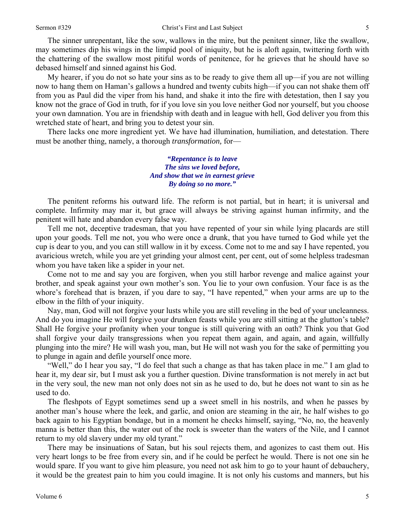The sinner unrepentant, like the sow, wallows in the mire, but the penitent sinner, like the swallow, may sometimes dip his wings in the limpid pool of iniquity, but he is aloft again, twittering forth with the chattering of the swallow most pitiful words of penitence, for he grieves that he should have so debased himself and sinned against his God.

My hearer, if you do not so hate your sins as to be ready to give them all up—if you are not willing now to hang them on Haman's gallows a hundred and twenty cubits high—if you can not shake them off from you as Paul did the viper from his hand, and shake it into the fire with detestation, then I say you know not the grace of God in truth, for if you love sin you love neither God nor yourself, but you choose your own damnation. You are in friendship with death and in league with hell, God deliver you from this wretched state of heart, and bring you to detest your sin.

There lacks one more ingredient yet. We have had illumination, humiliation, and detestation. There must be another thing, namely, a thorough *transformation,* for—

> *"Repentance is to leave The sins we loved before, And show that we in earnest grieve By doing so no more."*

The penitent reforms his outward life. The reform is not partial, but in heart; it is universal and complete. Infirmity may mar it, but grace will always be striving against human infirmity, and the penitent will hate and abandon every false way.

Tell me not, deceptive tradesman, that you have repented of your sin while lying placards are still upon your goods. Tell me not, you who were once a drunk, that you have turned to God while yet the cup is dear to you, and you can still wallow in it by excess. Come not to me and say I have repented, you avaricious wretch, while you are yet grinding your almost cent, per cent, out of some helpless tradesman whom you have taken like a spider in your net.

Come not to me and say you are forgiven, when you still harbor revenge and malice against your brother, and speak against your own mother's son. You lie to your own confusion. Your face is as the whore's forehead that is brazen, if you dare to say, "I have repented," when your arms are up to the elbow in the filth of your iniquity.

Nay, man, God will not forgive your lusts while you are still reveling in the bed of your uncleanness. And do you imagine He will forgive your drunken feasts while you are still sitting at the glutton's table? Shall He forgive your profanity when your tongue is still quivering with an oath? Think you that God shall forgive your daily transgressions when you repeat them again, and again, and again, willfully plunging into the mire? He will wash you, man, but He will not wash you for the sake of permitting you to plunge in again and defile yourself once more.

"Well," do I hear you say, "I do feel that such a change as that has taken place in me." I am glad to hear it, my dear sir, but I must ask you a further question. Divine transformation is not merely in act but in the very soul, the new man not only does not sin as he used to do, but he does not want to sin as he used to do.

The fleshpots of Egypt sometimes send up a sweet smell in his nostrils, and when he passes by another man's house where the leek, and garlic, and onion are steaming in the air, he half wishes to go back again to his Egyptian bondage, but in a moment he checks himself, saying, "No, no, the heavenly manna is better than this, the water out of the rock is sweeter than the waters of the Nile, and I cannot return to my old slavery under my old tyrant."

There may be insinuations of Satan, but his soul rejects them, and agonizes to cast them out. His very heart longs to be free from every sin, and if he could be perfect he would. There is not one sin he would spare. If you want to give him pleasure, you need not ask him to go to your haunt of debauchery, it would be the greatest pain to him you could imagine. It is not only his customs and manners, but his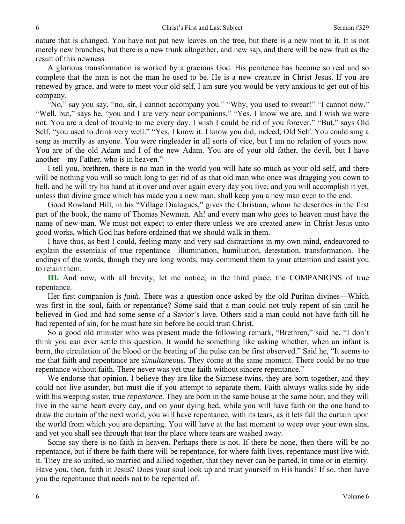nature that is changed. You have not put new leaves on the tree, but there is a new root to it. It is not merely new branches, but there is a new trunk altogether, and new sap, and there will be new fruit as the result of this newness.

A glorious transformation is worked by a gracious God. His penitence has become so real and so complete that the man is not the man he used to be. He is a new creature in Christ Jesus. If you are renewed by grace, and were to meet your old self, I am sure you would be very anxious to get out of his company.

"No," say you say, "no, sir, I cannot accompany you." "Why, you used to swear!" "I cannot now." "Well, but," says he, "you and I are very near companions." "Yes, I know we are, and I wish we were not. You are a deal of trouble to me every day. I wish I could be rid of you forever." "But," says Old Self, "you used to drink very well." "Yes, I know it. I know you did, indeed, Old Self. You could sing a song as merrily as anyone. You were ringleader in all sorts of vice, but I am no relation of yours now. You are of the old Adam and I of the new Adam. You are of your old father, the devil, but I have another—my Father, who is in heaven."

I tell you, brethren, there is no man in the world you will hate so much as your old self, and there will be nothing you will so much long to get rid of as that old man who once was dragging you down to hell, and he will try his hand at it over and over again every day you live, and you will accomplish it yet, unless that divine grace which has made you a new man, shall keep you a new man even to the end.

Good Rowland Hill, in his "Village Dialogues," gives the Christian, whom he describes in the first part of the book, the name of Thomas Newman. Ah! and every man who goes to heaven must have the name of new-man. We must not expect to enter there unless we are created anew in Christ Jesus unto good works, which God has before ordained that we should walk in them.

I have thus, as best I could, feeling many and very sad distractions in my own mind, endeavored to explain the essentials of true repentance—illumination, humiliation, detestation, transformation. The endings of the words, though they are long words, may commend them to your attention and assist you to retain them.

**III.** And now, with all brevity, let me notice, in the third place, the COMPANIONS of true repentance.

Her first companion is *faith*. There was a question once asked by the old Puritan divines—Which was first in the soul, faith or repentance? Some said that a man could not truly repent of sin until he believed in God and had some sense of a Savior's love. Others said a man could not have faith till he had repented of sin, for he must hate sin before he could trust Christ.

So a good old minister who was present made the following remark, "Brethren," said he, "I don't think you can ever settle this question. It would be something like asking whether, when an infant is born, the circulation of the blood or the beating of the pulse can be first observed." Said he, "It seems to me that faith and repentance are *simultaneous*. They come at the same moment. There could be no true repentance without faith. There never was yet true faith without sincere repentance."

We endorse that opinion. I believe they are like the Siamese twins, they are born together, and they could not live asunder, but must die if you attempt to separate them. Faith always walks side by side with his weeping sister, true *repentance*. They are born in the same house at the same hour, and they will live in the same heart every day, and on your dying bed, while you will have faith on the one hand to draw the curtain of the next world, you will have repentance, with its tears, as it lets fall the curtain upon the world from which you are departing. You will have at the last moment to weep over your own sins, and yet you shall see through that tear the place where tears are washed away.

Some say there is no faith in heaven. Perhaps there is not. If there be none, then there will be no repentance, but if there be faith there will be repentance, for where faith lives, repentance must live with it. They are so united, so married and allied together, that they never can be parted, in time or in eternity. Have you, then, faith in Jesus? Does your soul look up and trust yourself in His hands? If so, then have you the repentance that needs not to be repented of.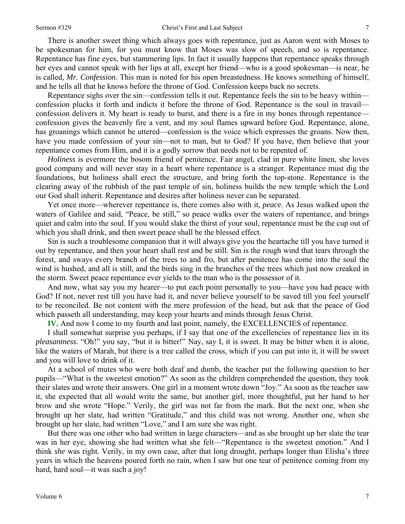There is another sweet thing which always goes with repentance, just as Aaron went with Moses to be spokesman for him, for you must know that Moses was slow of speech, and so is repentance. Repentance has fine eyes, but stammering lips. In fact it usually happens that repentance speaks through her eyes and cannot speak with her lips at all, except her friend—who is a good spokesman—is near, he is called, *Mr. Confession*. This man is noted for his open breastedness. He knows something of himself, and he tells all that he knows before the throne of God. Confession keeps back no secrets.

Repentance sighs over the sin—confession tells it out. Repentance feels the sin to be heavy within confession plucks it forth and indicts it before the throne of God. Repentance is the soul in travail confession delivers it. My heart is ready to burst, and there is a fire in my bones through repentance confession gives the heavenly fire a vent, and my soul flames upward before God. Repentance, alone, has groanings which cannot be uttered—confession is the voice which expresses the groans. Now then, have you made confession of your sin—not to man, but to God? If you have, then believe that your repentance comes from Him, and it is a godly sorrow that needs not to be repented of.

*Holiness* is evermore the bosom friend of penitence. Fair angel, clad in pure white linen, she loves good company and will never stay in a heart where repentance is a stranger. Repentance must dig the foundations, but holiness shall erect the structure, and bring forth the top-stone. Repentance is the clearing away of the rubbish of the past temple of sin, holiness builds the new temple which the Lord our God shall inherit. Repentance and desires after holiness never can be separated.

Yet once more—wherever repentance is, there comes also with it, *peace*. As Jesus walked upon the waters of Galilee and said, "Peace, be still," so peace walks over the waters of repentance, and brings quiet and calm into the soul. If you would slake the thirst of your soul, repentance must be the cup out of which you shall drink, and then sweet peace shall be the blessed effect.

Sin is such a troublesome companion that it will always give you the heartache till you have turned it out by repentance, and then your heart shall rest and be still. Sin is the rough wind that tears through the forest, and sways every branch of the trees to and fro, but after penitence has come into the soul the wind is hushed, and all is still, and the birds sing in the branches of the trees which just now creaked in the storm. Sweet peace repentance ever yields to the man who is the possessor of it.

And now, what say you my hearer—to put each point personally to you—have you had peace with God? If not, never rest till you have had it, and never believe yourself to be saved till you feel yourself to be reconciled. Be not content with the mere profession of the head, but ask that the peace of God which passeth all understanding, may keep your hearts and minds through Jesus Christ.

**IV.** And now I come to my fourth and last point, namely, the EXCELLENCIES of repentance.

I shall somewhat surprise you perhaps, if I say that one of the excellencies of repentance lies in its *pleasantness*. "Oh!" you say, "but it is bitter!" Nay, say I, it is sweet. It may be bitter when it is alone, like the waters of Marah, but there is a tree called the cross, which if you can put into it, it will be sweet and you will love to drink of it.

At a school of mutes who were both deaf and dumb, the teacher put the following question to her pupils—"What is the sweetest emotion?" As soon as the children comprehended the question, they took their slates and wrote their answers. One girl in a moment wrote down "Joy." As soon as the teacher saw it, she expected that all would write the same, but another girl, more thoughtful, put her hand to her brow and she wrote "Hope." Verily, the girl was not far from the mark. But the next one, when she brought up her slate, had written "Gratitude," and this child was not wrong. Another one, when she brought up her slate, had written "Love," and I am sure she was right.

But there was one other who had written in large characters—and as she brought up her slate the tear was in her eye, showing she had written what she felt—"Repentance is the sweetest emotion." And I think *she* was right. Verily, in my own case, after that long drought, perhaps longer than Elisha's three years in which the heavens poured forth no rain, when I saw but one tear of penitence coming from my hard, hard soul—it was such a joy!

7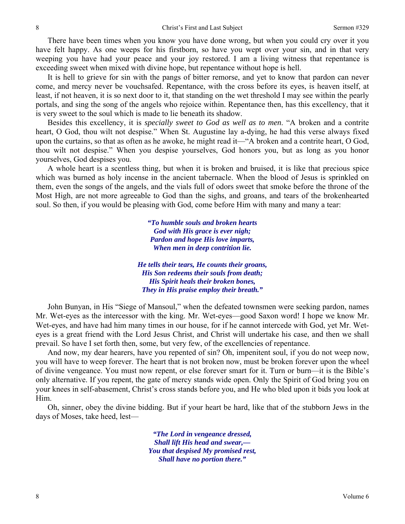There have been times when you know you have done wrong, but when you could cry over it you have felt happy. As one weeps for his firstborn, so have you wept over your sin, and in that very weeping you have had your peace and your joy restored. I am a living witness that repentance is exceeding sweet when mixed with divine hope, but repentance without hope is hell.

It is hell to grieve for sin with the pangs of bitter remorse, and yet to know that pardon can never come, and mercy never be vouchsafed. Repentance, with the cross before its eyes, is heaven itself, at least, if not heaven, it is so next door to it, that standing on the wet threshold I may see within the pearly portals, and sing the song of the angels who rejoice within. Repentance then, has this excellency, that it is very sweet to the soul which is made to lie beneath its shadow.

Besides this excellency, it is *specially sweet to God as well as to men*. "A broken and a contrite heart, O God, thou wilt not despise." When St. Augustine lay a-dying, he had this verse always fixed upon the curtains, so that as often as he awoke, he might read it—"A broken and a contrite heart, O God, thou wilt not despise." When you despise yourselves, God honors you, but as long as you honor yourselves, God despises you.

A whole heart is a scentless thing, but when it is broken and bruised, it is like that precious spice which was burned as holy incense in the ancient tabernacle. When the blood of Jesus is sprinkled on them, even the songs of the angels, and the vials full of odors sweet that smoke before the throne of the Most High, are not more agreeable to God than the sighs, and groans, and tears of the brokenhearted soul. So then, if you would be pleasing with God, come before Him with many and many a tear:

> *"To humble souls and broken hearts God with His grace is ever nigh; Pardon and hope His love imparts, When men in deep contrition lie.*

*He tells their tears, He counts their groans, His Son redeems their souls from death; His Spirit heals their broken bones, They in His praise employ their breath."* 

John Bunyan, in His "Siege of Mansoul," when the defeated townsmen were seeking pardon, names Mr. Wet-eyes as the intercessor with the king. Mr. Wet-eyes—good Saxon word! I hope we know Mr. Wet-eyes, and have had him many times in our house, for if he cannot intercede with God, yet Mr. Weteyes is a great friend with the Lord Jesus Christ, and Christ will undertake his case, and then we shall prevail. So have I set forth then, some, but very few, of the excellencies of repentance.

And now, my dear hearers, have you repented of sin? Oh, impenitent soul, if you do not weep now, you will have to weep forever. The heart that is not broken now, must be broken forever upon the wheel of divine vengeance. You must now repent, or else forever smart for it. Turn or burn—it is the Bible's only alternative. If you repent, the gate of mercy stands wide open. Only the Spirit of God bring you on your knees in self-abasement, Christ's cross stands before you, and He who bled upon it bids you look at Him.

Oh, sinner, obey the divine bidding. But if your heart be hard, like that of the stubborn Jews in the days of Moses, take heed, lest—

> *"The Lord in vengeance dressed, Shall lift His head and swear,— You that despised My promised rest, Shall have no portion there."*